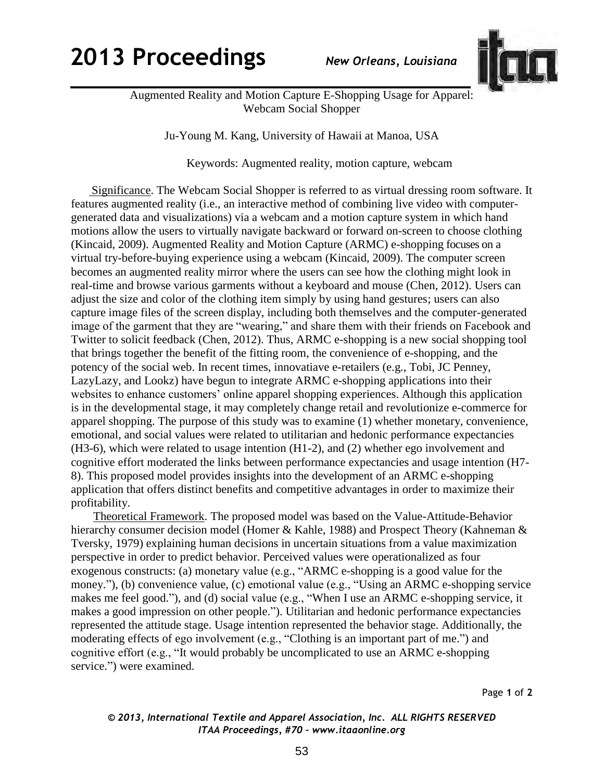## **2013 Proceedings** *New Orleans, Louisiana*



Augmented Reality and Motion Capture E-Shopping Usage for Apparel: Webcam Social Shopper

Ju-Young M. Kang, University of Hawaii at Manoa, USA

Keywords: Augmented reality, motion capture, webcam

 Significance. The Webcam Social Shopper is referred to as virtual dressing room software. It features augmented reality (i.e., an interactive method of combining live video with computergenerated data and visualizations) via a webcam and a motion capture system in which hand motions allow the users to virtually navigate backward or forward on-screen to choose clothing (Kincaid, 2009). Augmented Reality and Motion Capture (ARMC) e-shopping focuses on a virtual try-before-buying experience using a webcam (Kincaid, 2009). The computer screen becomes an augmented reality mirror where the users can see how the clothing might look in real-time and browse various garments without a keyboard and mouse (Chen, 2012). Users can adjust the size and color of the clothing item simply by using hand gestures; users can also capture image files of the screen display, including both themselves and the computer-generated image of the garment that they are "wearing," and share them with their friends on Facebook and Twitter to solicit feedback (Chen, 2012). Thus, ARMC e-shopping is a new social shopping tool that brings together the benefit of the fitting room, the convenience of e-shopping, and the potency of the social web. In recent times, innovatiave e-retailers (e.g., Tobi, JC Penney, LazyLazy, and Lookz) have begun to integrate ARMC e-shopping applications into their websites to enhance customers' online apparel shopping experiences. Although this application is in the developmental stage, it may completely change retail and revolutionize e-commerce for apparel shopping. The purpose of this study was to examine (1) whether monetary, convenience, emotional, and social values were related to utilitarian and hedonic performance expectancies (H3-6), which were related to usage intention (H1-2), and (2) whether ego involvement and cognitive effort moderated the links between performance expectancies and usage intention (H7- 8). This proposed model provides insights into the development of an ARMC e-shopping application that offers distinct benefits and competitive advantages in order to maximize their profitability.

Theoretical Framework. The proposed model was based on the Value-Attitude-Behavior hierarchy consumer decision model (Homer & Kahle, 1988) and Prospect Theory (Kahneman & Tversky, 1979) explaining human decisions in uncertain situations from a value maximization perspective in order to predict behavior. Perceived values were operationalized as four exogenous constructs: (a) monetary value (e.g., "ARMC e-shopping is a good value for the money."), (b) convenience value, (c) emotional value (e.g., "Using an ARMC e-shopping service makes me feel good."), and (d) social value (e.g., "When I use an ARMC e-shopping service, it makes a good impression on other people."). Utilitarian and hedonic performance expectancies represented the attitude stage. Usage intention represented the behavior stage. Additionally, the moderating effects of ego involvement (e.g., "Clothing is an important part of me.") and cognitive effort (e.g., "It would probably be uncomplicated to use an ARMC e-shopping service.") were examined.

Page **1** of **2** 

## *© 2013, International Textile and Apparel Association, Inc. ALL RIGHTS RESERVED ITAA Proceedings, #70 – www.itaaonline.org*